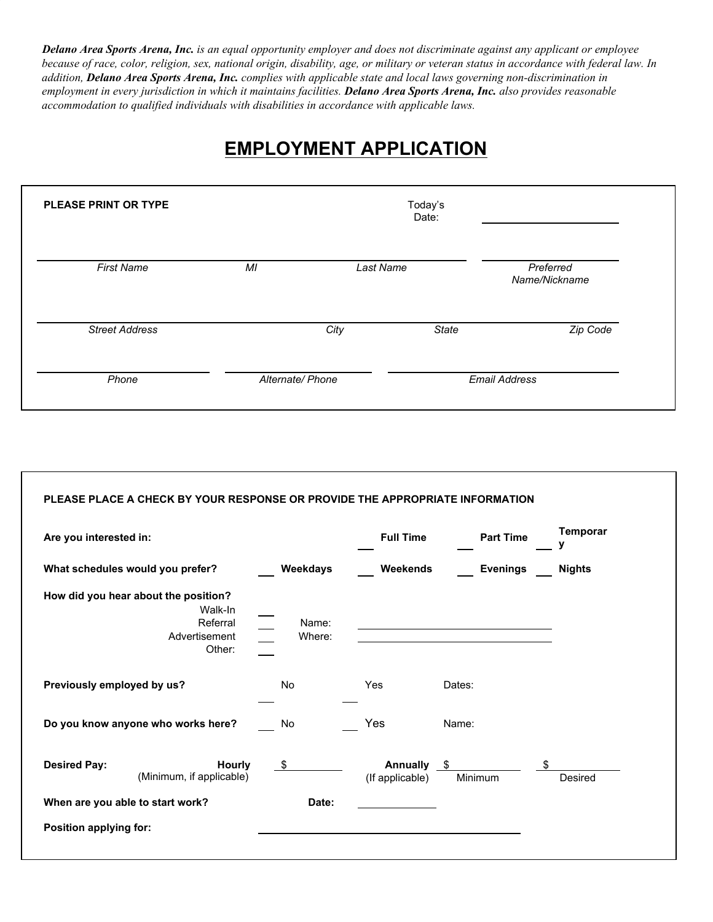Delano Area Sports Arena, Inc. is an equal opportunity employer and does not discriminate against any applicant or employee because of race, color, religion, sex, national origin, disability, age, or military or veteran status in accordance with federal law. In addition, Delano Area Sports Arena, Inc. complies with applicable state and local laws governing non-discrimination in employment in every jurisdiction in which it maintains facilities. Delano Area Sports Arena, Inc. also provides reasonable *accommodation to qualified individuals with disabilities in accordance with applicable laws.*

# **EMPLOYMENT APPLICATION**

| <b>PLEASE PRINT OR TYPE</b> | Today's<br>Date: |           |              |                            |
|-----------------------------|------------------|-----------|--------------|----------------------------|
| <b>First Name</b>           | MI               | Last Name |              | Preferred<br>Name/Nickname |
| <b>Street Address</b>       |                  | City      | <b>State</b> | Zip Code                   |
| Phone                       | Alternate/ Phone |           |              | <b>Email Address</b>       |

| Are you interested in:                                                                 |                 | <b>Full Time</b>               | <b>Part Time</b> | <b>Temporar</b><br>۷ |
|----------------------------------------------------------------------------------------|-----------------|--------------------------------|------------------|----------------------|
| What schedules would you prefer?                                                       | Weekdays        | Weekends                       | <b>Evenings</b>  | <b>Nights</b>        |
| How did you hear about the position?<br>Walk-In<br>Referral<br>Advertisement<br>Other: | Name:<br>Where: |                                |                  |                      |
| Previously employed by us?                                                             | <b>No</b>       | Yes                            | Dates:           |                      |
| Do you know anyone who works here?                                                     | No              | Yes                            | Name:            |                      |
| <b>Desired Pay:</b><br>Hourly<br>(Minimum, if applicable)                              | - \$            | Annually \$<br>(If applicable) | Minimum          | Desired              |
| When are you able to start work?                                                       | Date:           |                                |                  |                      |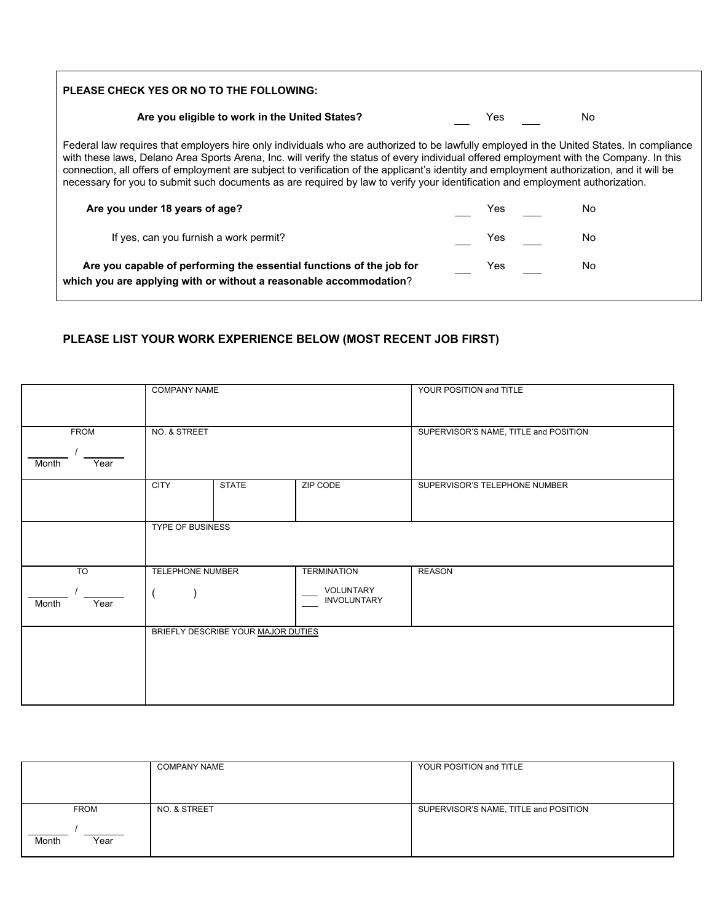| PLEASE CHECK YES OR NO TO THE FOLLOWING:                                                                                                                                                                                                                                                                                                                                                                                                                                                                                                                          |            |  |  |  |  |  |
|-------------------------------------------------------------------------------------------------------------------------------------------------------------------------------------------------------------------------------------------------------------------------------------------------------------------------------------------------------------------------------------------------------------------------------------------------------------------------------------------------------------------------------------------------------------------|------------|--|--|--|--|--|
| Are you eligible to work in the United States?                                                                                                                                                                                                                                                                                                                                                                                                                                                                                                                    | Yes<br>No. |  |  |  |  |  |
| Federal law requires that employers hire only individuals who are authorized to be lawfully employed in the United States. In compliance<br>with these laws, Delano Area Sports Arena, Inc. will verify the status of every individual offered employment with the Company. In this<br>connection, all offers of employment are subject to verification of the applicant's identity and employment authorization, and it will be<br>necessary for you to submit such documents as are required by law to verify your identification and employment authorization. |            |  |  |  |  |  |
| Are you under 18 years of age?                                                                                                                                                                                                                                                                                                                                                                                                                                                                                                                                    | Yes<br>No. |  |  |  |  |  |
| If yes, can you furnish a work permit?                                                                                                                                                                                                                                                                                                                                                                                                                                                                                                                            | No.<br>Yes |  |  |  |  |  |
| Are you capable of performing the essential functions of the job for<br>which you are applying with or without a reasonable accommodation?                                                                                                                                                                                                                                                                                                                                                                                                                        | Yes<br>No  |  |  |  |  |  |

# **PLEASE LIST YOUR WORK EXPERIENCE BELOW (MOST RECENT JOB FIRST)**

|                 | <b>COMPANY NAME</b> |                                    |                    | YOUR POSITION and TITLE               |
|-----------------|---------------------|------------------------------------|--------------------|---------------------------------------|
|                 |                     |                                    |                    |                                       |
|                 |                     |                                    |                    |                                       |
| <b>FROM</b>     | NO. & STREET        |                                    |                    | SUPERVISOR'S NAME, TITLE and POSITION |
|                 |                     |                                    |                    |                                       |
| Month<br>Year   |                     |                                    |                    |                                       |
|                 | <b>CITY</b>         | <b>STATE</b>                       | ZIP CODE           | SUPERVISOR'S TELEPHONE NUMBER         |
|                 |                     |                                    |                    |                                       |
|                 | TYPE OF BUSINESS    |                                    |                    |                                       |
|                 |                     |                                    |                    |                                       |
|                 |                     |                                    |                    |                                       |
| $\overline{10}$ | TELEPHONE NUMBER    |                                    | <b>TERMINATION</b> | <b>REASON</b>                         |
|                 |                     |                                    | VOLUNTARY          |                                       |
| Month<br>Year   | A                   |                                    | <b>INVOLUNTARY</b> |                                       |
|                 |                     |                                    |                    |                                       |
|                 |                     | BRIEFLY DESCRIBE YOUR MAJOR DUTIES |                    |                                       |
|                 |                     |                                    |                    |                                       |
|                 |                     |                                    |                    |                                       |
|                 |                     |                                    |                    |                                       |
|                 |                     |                                    |                    |                                       |

|               | <b>COMPANY NAME</b> | YOUR POSITION and TITLE               |
|---------------|---------------------|---------------------------------------|
|               |                     |                                       |
|               |                     |                                       |
| <b>FROM</b>   | NO. & STREET        | SUPERVISOR'S NAME, TITLE and POSITION |
|               |                     |                                       |
| Month<br>Year |                     |                                       |
|               |                     |                                       |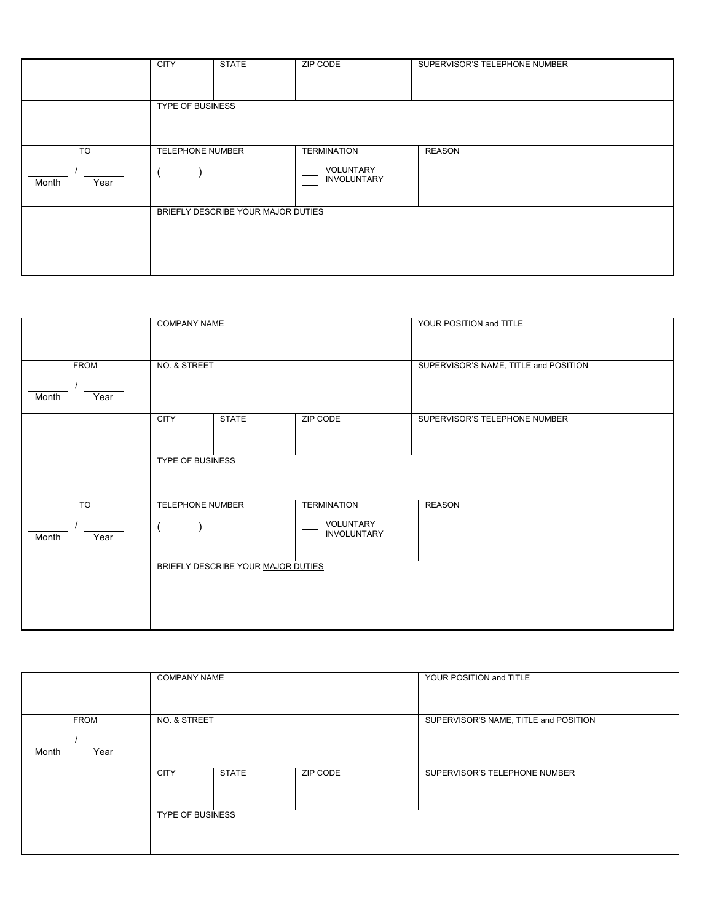|               | <b>CITY</b>             | <b>STATE</b>                       | ZIP CODE                        | SUPERVISOR'S TELEPHONE NUMBER |
|---------------|-------------------------|------------------------------------|---------------------------------|-------------------------------|
|               | <b>TYPE OF BUSINESS</b> |                                    |                                 |                               |
| <b>TO</b>     | TELEPHONE NUMBER        |                                    | <b>TERMINATION</b>              | <b>REASON</b>                 |
|               |                         |                                    |                                 |                               |
| Month<br>Year |                         |                                    | VOLUNTARY<br><b>INVOLUNTARY</b> |                               |
|               |                         | BRIEFLY DESCRIBE YOUR MAJOR DUTIES |                                 |                               |
|               |                         |                                    |                                 |                               |

|               | <b>COMPANY NAME</b>                   |                                    |                    | YOUR POSITION and TITLE               |
|---------------|---------------------------------------|------------------------------------|--------------------|---------------------------------------|
|               |                                       |                                    |                    |                                       |
| <b>FROM</b>   | NO. & STREET                          |                                    |                    | SUPERVISOR'S NAME, TITLE and POSITION |
| Month<br>Year |                                       |                                    |                    |                                       |
|               | <b>CITY</b>                           | <b>STATE</b>                       | ZIP CODE           | SUPERVISOR'S TELEPHONE NUMBER         |
|               | <b>TYPE OF BUSINESS</b>               |                                    |                    |                                       |
| TO            | TELEPHONE NUMBER                      |                                    | <b>TERMINATION</b> | <b>REASON</b>                         |
| Month<br>Year | VOLUNTARY<br>-1<br><b>INVOLUNTARY</b> |                                    |                    |                                       |
|               |                                       | BRIEFLY DESCRIBE YOUR MAJOR DUTIES |                    |                                       |

|               | <b>COMPANY NAME</b>     |              |          | YOUR POSITION and TITLE               |
|---------------|-------------------------|--------------|----------|---------------------------------------|
| <b>FROM</b>   | NO. & STREET            |              |          | SUPERVISOR'S NAME, TITLE and POSITION |
| Month<br>Year |                         |              |          |                                       |
|               | <b>CITY</b>             | <b>STATE</b> | ZIP CODE | SUPERVISOR'S TELEPHONE NUMBER         |
|               |                         |              |          |                                       |
|               | <b>TYPE OF BUSINESS</b> |              |          |                                       |
|               |                         |              |          |                                       |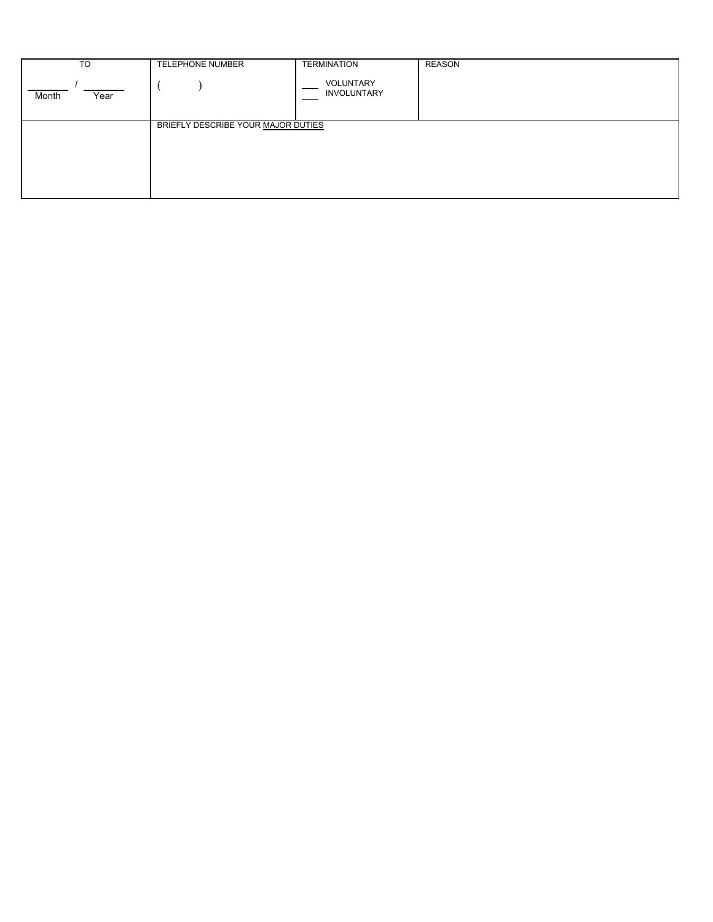| <b>TO</b>     | TELEPHONE NUMBER                   | <b>TERMINATION</b>              | <b>REASON</b> |
|---------------|------------------------------------|---------------------------------|---------------|
| Month<br>Year |                                    | VOLUNTARY<br><b>INVOLUNTARY</b> |               |
|               | BRIEFLY DESCRIBE YOUR MAJOR DUTIES |                                 |               |
|               |                                    |                                 |               |
|               |                                    |                                 |               |
|               |                                    |                                 |               |
|               |                                    |                                 |               |
|               |                                    |                                 |               |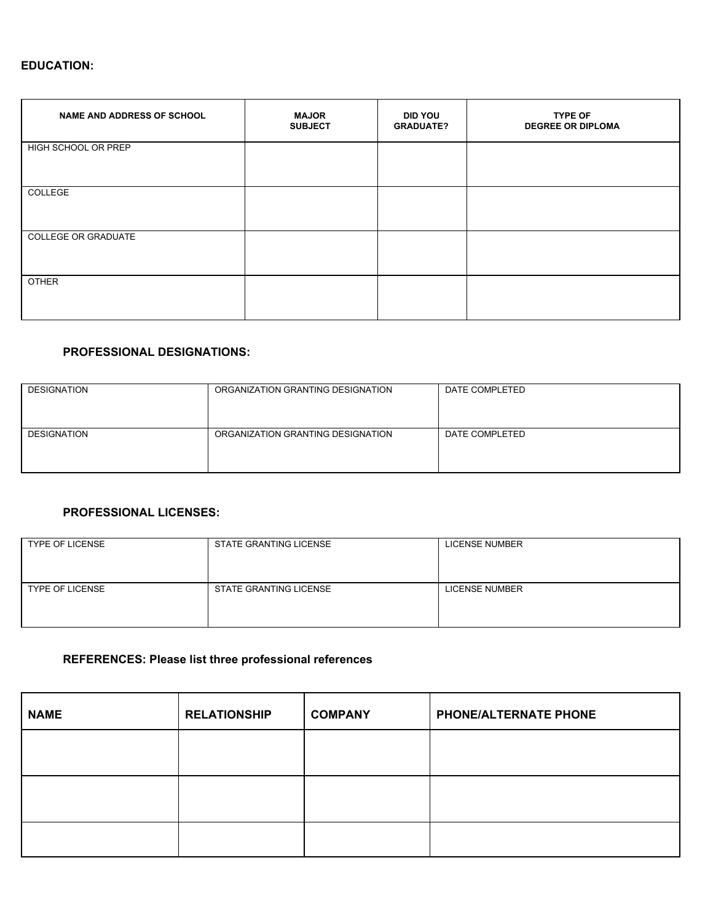## **EDUCATION:**

| <b>NAME AND ADDRESS OF SCHOOL</b> | <b>MAJOR</b><br><b>SUBJECT</b> | <b>DID YOU</b><br><b>GRADUATE?</b> | <b>TYPE OF</b><br><b>DEGREE OR DIPLOMA</b> |
|-----------------------------------|--------------------------------|------------------------------------|--------------------------------------------|
| HIGH SCHOOL OR PREP               |                                |                                    |                                            |
| COLLEGE                           |                                |                                    |                                            |
| <b>COLLEGE OR GRADUATE</b>        |                                |                                    |                                            |
| <b>OTHER</b>                      |                                |                                    |                                            |

## **PROFESSIONAL DESIGNATIONS:**

| <b>DESIGNATION</b> | ORGANIZATION GRANTING DESIGNATION | DATE COMPLETED |
|--------------------|-----------------------------------|----------------|
| <b>DESIGNATION</b> | ORGANIZATION GRANTING DESIGNATION | DATE COMPLETED |

## **PROFESSIONAL LICENSES:**

| <b>TYPE OF LICENSE</b> | STATE GRANTING LICENSE        | LICENSE NUMBER        |
|------------------------|-------------------------------|-----------------------|
| <b>TYPE OF LICENSE</b> | <b>STATE GRANTING LICENSE</b> | <b>LICENSE NUMBER</b> |

# **REFERENCES: Please list three professional references**

| <b>NAME</b> | <b>RELATIONSHIP</b> | <b>COMPANY</b> | PHONE/ALTERNATE PHONE |
|-------------|---------------------|----------------|-----------------------|
|             |                     |                |                       |
|             |                     |                |                       |
|             |                     |                |                       |